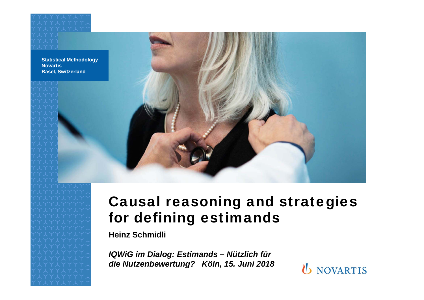**Statistical Methodology NovartisBasel, Switzerland**



**Heinz Schmidli**

*IQWiG im Dialog: Estimands – Nützlich für die Nutzenbewertung? Köln, 15. Juni 2018*

**U** NOVARTIS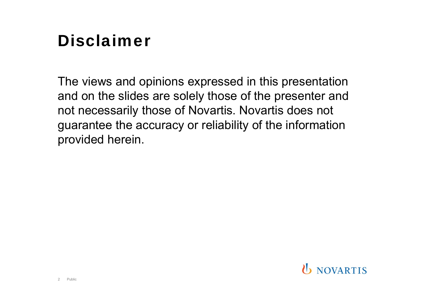# Disclaimer

The views and opinions expressed in this presentation and on the slides are solely those of the presenter and not necessarily those of Novartis. Novartis does not guarantee the accuracy or reliability of the information provided herein.

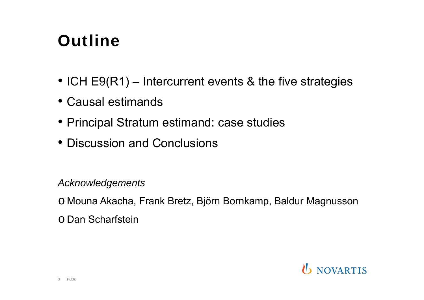# **Outline**

- ICH E9(R1) Intercurrent events & the five strategies
- Causal estimands
- Principal Stratum estimand: case studies
- Discussion and Conclusions

#### *Acknowledgements*

o Mouna Akacha, Frank Bretz, Björn Bornkamp, Baldur Magnusson

o Dan Scharfstein

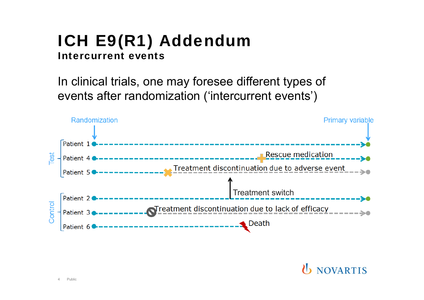## ICH E9(R1) Addendum Intercurrent events

In clinical trials, one may foresee different types of events after randomization ('intercurrent events')

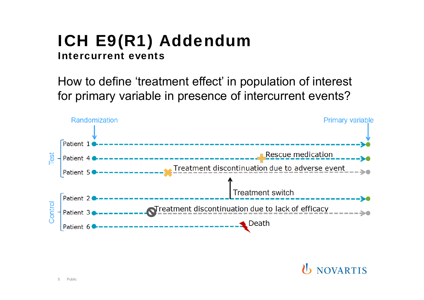## ICH E9(R1) Addendum Intercurrent events

How to define 'treatment effect' in population of interest for primary variable in presence of intercurrent events?

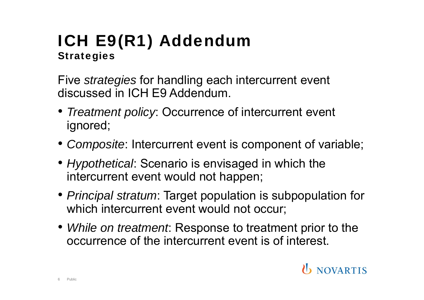## ICH E9(R1) Addendum **Strategies**

Five *strategies* for handling each intercurrent event discussed in ICH E9 Addendum.

- *Treatment policy*: Occurrence of intercurrent event ignored;
- *Composite*: Intercurrent event is component of variable;
- *Hypothetical*: Scenario is envisaged in which the intercurrent event would not happen;
- *Principal stratum*: Target population is subpopulation for which intercurrent event would not occur;
- *While on treatment*: Response to treatment prior to the occurrence of the intercurrent event is of interest.

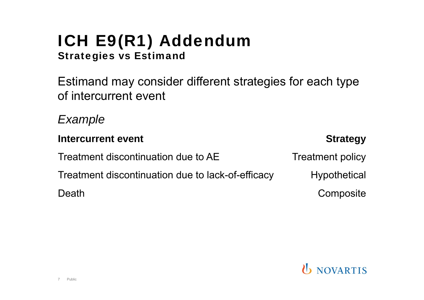## ICH E9(R1) Addendum Strategies vs Estimand

Estimand may consider different strategies for each type of intercurrent event

*Example*

**Intercurrent event** *Allegy Strategy* Treatment discontinuation due to AE Treatment policy Treatment discontinuation due to lack-of-efficacy hypothetical Death **Composite** 

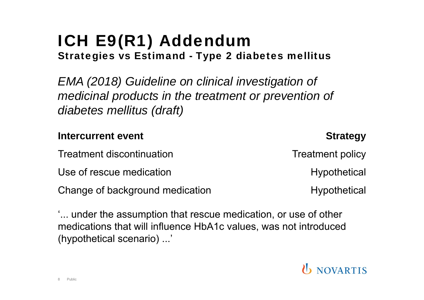Public

8

### ICH E9(R1) Addendum Strategies vs Estimand - Type 2 diabetes mellitus

*EMA (2018) Guideline on clinical investigation of medicinal products in the treatment or prevention of diabetes mellitus (draft)*

## **Intercurrent event** *Allegy Strategy* Treatment discontinuation Treatment policy Use of rescue medication Use of rescue medication Change of background medication Theorem and Hypothetical

'... under the assumption that rescue medication, or use of other medications that will influence HbA1c values, was not introduced (hypothetical scenario) ...'

**U** NOVARTIS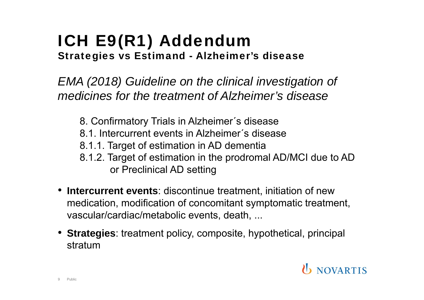## ICH E9(R1) Addendum Strategies vs Estimand - Alzheimer's disease

*EMA (2018) Guideline on the clinical investigation of medicines for the treatment of Alzheimer's disease*

- 8. Confirmatory Trials in Alzheimer´s disease
- 8.1. Intercurrent events in Alzheimer´s disease
- 8.1.1. Target of estimation in AD dementia
- 8.1.2. Target of estimation in the prodromal AD/MCI due to AD or Preclinical AD setting
- **Intercurrent events**: discontinue treatment, initiation of new medication, modification of concomitant symptomatic treatment, vascular/cardiac/metabolic events, death, ...
- **Strategies**: treatment policy, composite, hypothetical, principal stratum

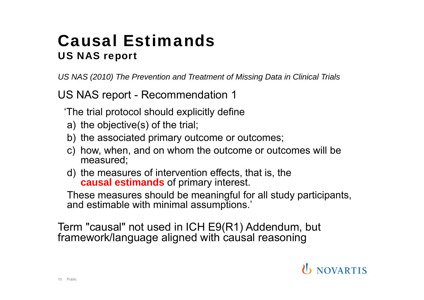## Causal EstimandsUS NAS report

*US NAS (2010) The Prevention and Treatment of Missing Data in Clinical Trials*

US NAS report - Recommendation 1

'The trial protocol should explicitly define

- a) the objective(s) of the trial;
- b) the associated primary outcome or outcomes;
- c) how, when, and on whom the outcome or outcomes will be measured;
- d) the measures of intervention effects, that is, the **causal estimands** of primary interest.

These measures should be meaningful for all study participants, and estimable with minimal assumptions.'

Term "causal" not used in ICH E9(R1) Addendum, but framework/language aligned with causal reasoning

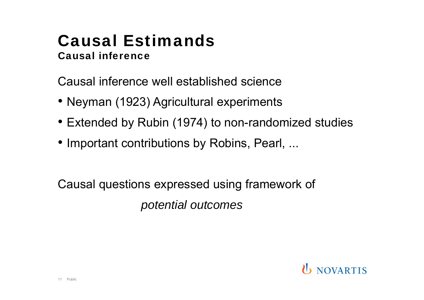### Causal EstimandsCausal inference

Causal inference well established science

- Neyman (1923) Agricultural experiments
- Extended by Rubin (1974) to non-randomized studies
- Important contributions by Robins, Pearl, ...

Causal questions expressed using framework of *potential outcomes*

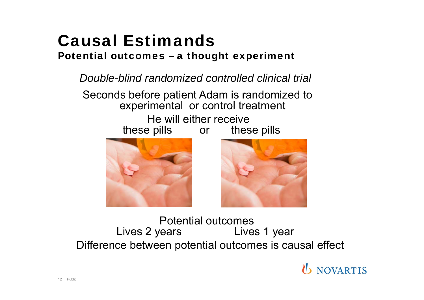# Causal Estimands

#### Potential outcomes – a thought experiment

*Double-blind randomized controlled clinical trial*

Seconds before patient Adam is randomized to experimental or control treatment He will either receive these pills or these pills





Potential outcomes Lives 2 years Lives 1 year Difference between potential outcomes is causal effect

**U** NOVARTIS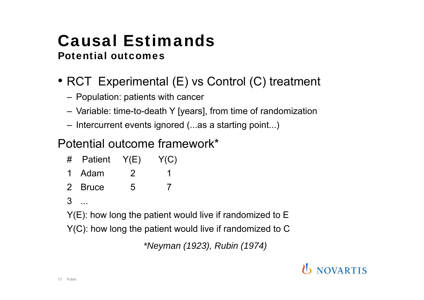## Causal EstimandsPotential outcomes

- RCT Experimental (E) vs Control (C) treatment
	- Population: patients with cancer
	- Variable: time-to-death Y [years], from time of randomization
	- Intercurrent events ignored (...as a starting point...)

### Potential outcome framework\*

- # Patient Y(E) Y(C) 1 Adam 2 1
- 2 Bruce 5 7

#### 3 ...

Y(E): how long the patient would live if randomized to E

Y(C): how long the patient would live if randomized to C

*\*Neyman (1923), Rubin (1974)*

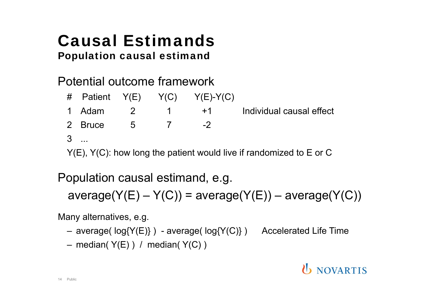### Causal EstimandsPopulation causal estimand

Potential outcome framework

# Patient  $Y(E)$   $Y(C)$   $Y(E)-Y(C)$ 1 Adam 2 1 +1 Individual causal effect 2 Bruce 5 7 -2 $3$ 

Y(E), Y(C): how long the patient would live if randomized to E or C

Population causal estimand, e.g.

 $average(Y(E) - Y(C)) = average(Y(E)) - average(Y(C))$ 

Many alternatives, e.g.

- average( log{Y(E)} ) average( log{Y(C)} ) Accelerated Life Time
- median( Y(E) ) / median( Y(C) )

## **U** NOVARTIS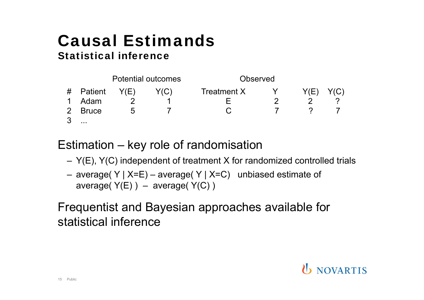### Causal EstimandsStatistical inference



Estimation – key role of randomisation

- Y(E), Y(C) independent of treatment X for randomized controlled trials
- average( Y | X=E) average( Y | X=C) unbiased estimate of average( $Y(E)$ ) – average( $Y(C)$ )

Frequentist and Bayesian approaches available for statistical inference

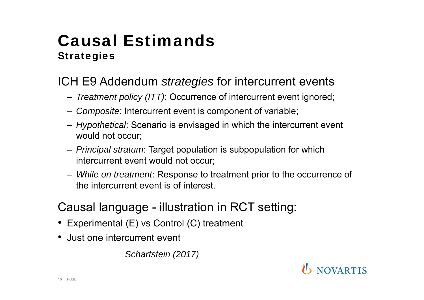## Causal Estimands**Strategies**

### ICH E9 Addendum *strategies* for intercurrent events

- *Treatment policy (ITT)*: Occurrence of intercurrent event ignored;
- *Composite*: Intercurrent event is component of variable;
- *Hypothetical*: Scenario is envisaged in which the intercurrent event would not occur;
- *Principal stratum*: Target population is subpopulation for which intercurrent event would not occur;
- *While on treatment*: Response to treatment prior to the occurrence of the intercurrent event is of interest.

### Causal language - illustration in RCT setting:

- Experimental (E) vs Control (C) treatment
- Just one intercurrent event

*Scharfstein (2017)*

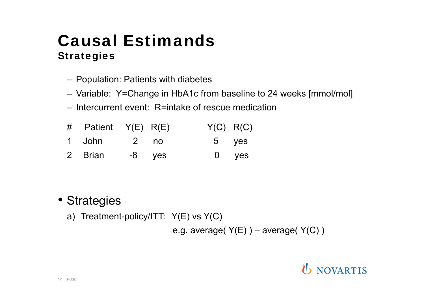## Causal Estimands**Strategies**

- Population: Patients with diabetes
- Variable: Y=Change in HbA1c from baseline to 24 weeks [mmol/mol]
- Intercurrent event: R=intake of rescue medication
- # Patient Y(E) R(E) Y(C) R(C)
- 1 John 2 no 5 yes
- 2 Brian -8 yes 0 yes

- Strategies
	- a) Treatment-policy/ITT: Y(E) vs Y(C)

e.g. average( $Y(E)$ ) – average( $Y(C)$ )

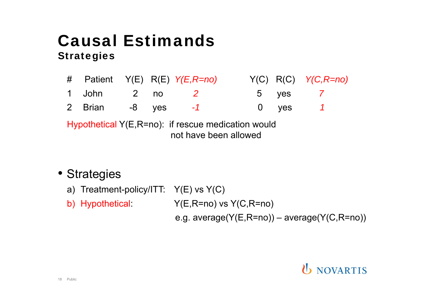## Causal Estimands**Strategies**

|                                                              |                      |  |  | # Patient Y(E) R(E) Y(E,R=no) |  |  | $Y(C) R(C) Y(C, R=no)$ |
|--------------------------------------------------------------|----------------------|--|--|-------------------------------|--|--|------------------------|
|                                                              | 1 John    2  no    2 |  |  |                               |  |  | 5 yes 7                |
|                                                              |                      |  |  | 2 Brian -8 yes -1             |  |  |                        |
| $H$ unotherical $V(F \nvert P=n)$ if rescue medication would |                      |  |  |                               |  |  |                        |

Hypothetical Y(E,R=no): if rescue medication would not have been allowed

#### • Strategies

- a) Treatment-policy/ITT: Y(E) vs Y(C)
- b) Hypothetical: Y(E,R=no) vs Y(C,R=no)

e.g. average(Y(E,R=no)) – average(Y(C,R=no))

### **U** NOVARTIS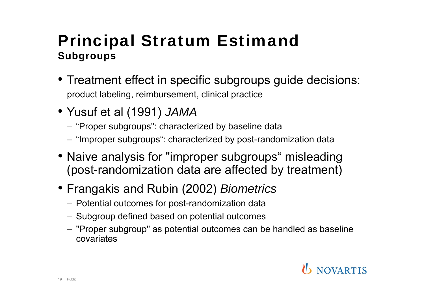## Principal Stratum Estimand Subgroups

- Treatment effect in specific subgroups guide decisions: product labeling, reimbursement, clinical practice
- Yusuf et al (1991) *JAMA*
	- "Proper subgroups": characterized by baseline data
	- "Improper subgroups": characterized by post-randomization data
- Naive analysis for "improper subgroups" misleading (post-randomization data are affected by treatment)
- Frangakis and Rubin (2002) *Biometrics*
	- Potential outcomes for post-randomization data
	- Subgroup defined based on potential outcomes
	- "Proper subgroup" as potential outcomes can be handled as baseline covariates

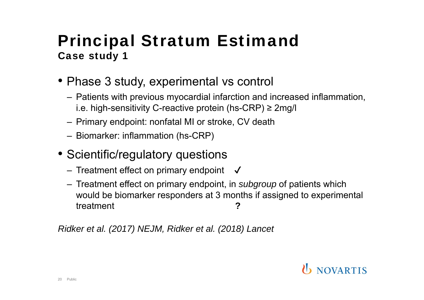- Phase 3 study, experimental vs control
	- Patients with previous myocardial infarction and increased inflammation, i.e. high-sensitivity C-reactive protein (hs-CRP) <sup>≥</sup> 2mg/l
	- Primary endpoint: nonfatal MI or stroke, CV death
	- Biomarker: inflammation (hs-CRP)
- Scientific/regulatory questions
	- $-$  Treatment effect on primary endpoint  $\;\;\surd\;$
	- Treatment effect on primary endpoint, in *subgroup* of patients which would be biomarker responders at 3 months if assigned to experimental treatment **?**

*Ridker et al. (2017) NEJM, Ridker et al. (2018) Lancet*

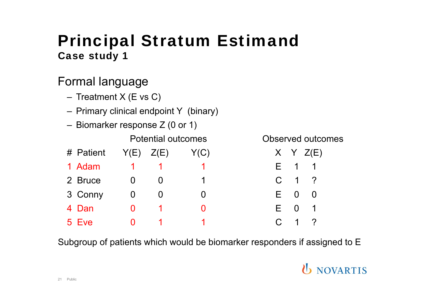### Formal language

- Treatment X (E vs C)
- Primary clinical endpoint Y (binary)
- Biomarker response Z (0 or 1)

|  |           |               | <b>Potential outcomes</b> |      | Observed outco |             |                     |
|--|-----------|---------------|---------------------------|------|----------------|-------------|---------------------|
|  | # Patient | $Y(E)$ $Z(E)$ |                           | Y(C) |                |             | X Y Z(E)            |
|  | 1 Adam    |               |                           |      |                |             | F 1 1               |
|  | 2 Bruce   |               |                           |      |                |             | $C \quad 1 \quad ?$ |
|  | 3 Conny   |               |                           |      |                | $F \quad 0$ |                     |
|  | 4 Dan     |               |                           |      | F.             |             |                     |
|  | 5 Eve     |               |                           |      |                |             | C 1 ?               |

Observed outcomes

| C) |                 |                | X Y Z(E)                   |
|----|-----------------|----------------|----------------------------|
| 1  |                 | E 1            | 1                          |
| 1  | $\mathsf C$     | $\overline{1}$ | $\overline{?}$             |
| 0  | $E_{\parallel}$ | 0              | O                          |
| 0  | E.              | 0              |                            |
|    | C .             | 1              | $\boldsymbol{\mathcal{P}}$ |

Subgroup of patients which would be biomarker responders if assigned to E

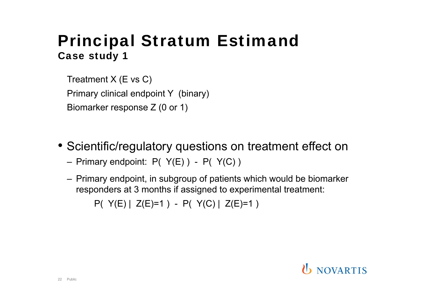Treatment X (E vs C) Primary clinical endpoint Y (binary) Biomarker response Z (0 or 1)

- Scientific/regulatory questions on treatment effect on
	- Primary endpoint: P( Y(E) ) P( Y(C) )
	- Primary endpoint, in subgroup of patients which would be biomarker responders at 3 months if assigned to experimental treatment:

 $P(Y(E) | Z(E)=1) - P(Y(C) | Z(E)=1)$ 

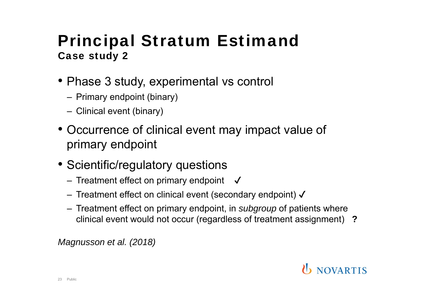- Phase 3 study, experimental vs control
	- Primary endpoint (binary)
	- Clinical event (binary)
- • Occurrence of clinical event may impact value of primary endpoint
- Scientific/regulatory questions
	- $-$  Treatment effect on primary endpoint  $\boldsymbol{\checkmark}$
	- Treatment effect on clinical event (secondary endpoint)  $\boldsymbol{\checkmark}$
	- Treatment effect on primary endpoint, in *subgroup* of patients where clinical event would not occur (regardless of treatment assignment) **?**

*Magnusson et al. (2018)*

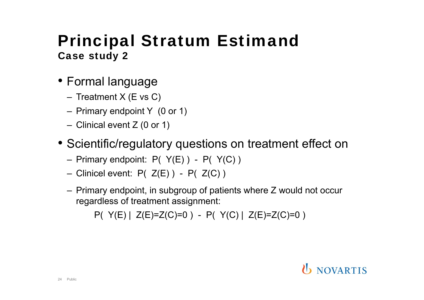- Formal language
	- Treatment X (E vs C)
	- Primary endpoint Y (0 or 1)
	- Clinical event Z (0 or 1)
- Scientific/regulatory questions on treatment effect on
	- $-$  Primary endpoint: P(  $Y(E)$  ) P(  $Y(C)$  )
	- $-$  Clinicel event: P( Z(E)) P( Z(C))
	- Primary endpoint, in subgroup of patients where Z would not occur regardless of treatment assignment:

 $P(Y(E) | Z(E)=Z(C)=0) - P(Y(C) | Z(E)=Z(C)=0)$ 

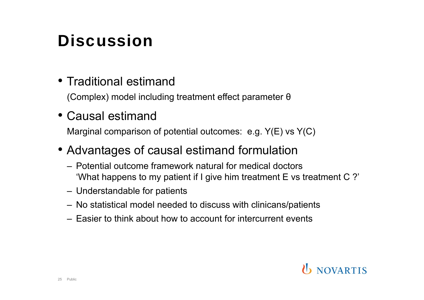# **Discussion**

### • Traditional estimand

(Complex) model including treatment effect parameter θ

#### • Causal estimand

Marginal comparison of potential outcomes: e.g. Y(E) vs Y(C)

- Advantages of causal estimand formulation
	- Potential outcome framework natural for medical doctors 'What happens to my patient if I give him treatment E vs treatment C ?'
	- Understandable for patients
	- No statistical model needed to discuss with clinicans/patients
	- Easier to think about how to account for intercurrent events

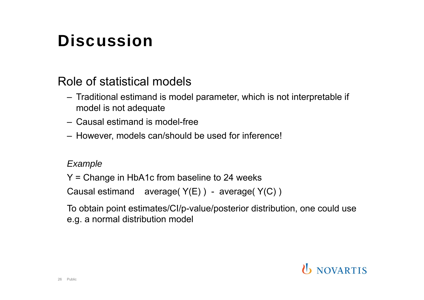# **Discussion**

#### Role of statistical models

- Traditional estimand is model parameter, which is not interpretable if model is not adequate
- Causal estimand is model-free
- However, models can/should be used for inference!

#### *Example*

Y = Change in HbA1c from baseline to 24 weeks

Causal estimand average( $Y(E)$ ) - average( $Y(C)$ )

To obtain point estimates/CI/p-value/posterior distribution, one could use e.g. a normal distribution model

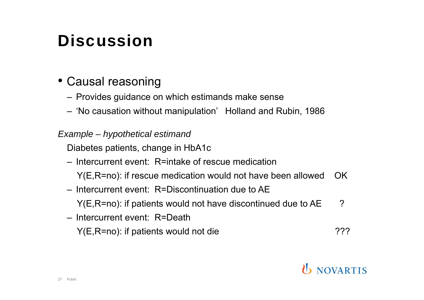# **Discussion**

### • Causal reasoning

- Provides guidance on which estimands make sense
- 'No causation without manipulation' Holland and Rubin, 1986

#### *Example – hypothetical estimand*

Diabetes patients, change in HbA1c

- Intercurrent event: R=intake of rescue medication
	- Y(E,R=no): if rescue medication would not have been allowed OK
- Intercurrent event: R=Discontinuation due to AE

 $Y(E,R=no)$ : if patients would not have discontinued due to  $AE$  ?

– Intercurrent event: R=Death

Y(E,R=no): if patients would not die  $\overline{?}$ ?

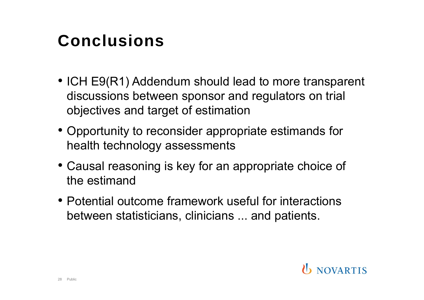## Conclusions

- ICH E9(R1) Addendum should lead to more transparent discussions between sponsor and regulators on trial objectives and target of estimation
- Opportunity to reconsider appropriate estimands for health technology assessments
- Causal reasoning is key for an appropriate choice of the estimand
- Potential outcome framework useful for interactions between statisticians, clinicians ... and patients.

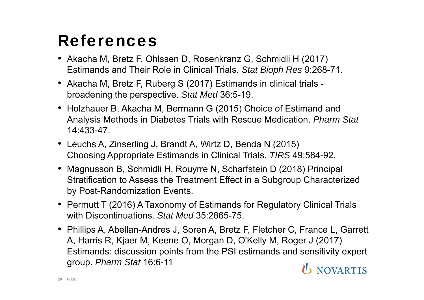## References

- Akacha M, Bretz F, Ohlssen D, Rosenkranz G, Schmidli H (2017) Estimands and Their Role in Clinical Trials. *Stat Bioph Res* 9:268-71.
- Akacha M, Bretz F, Ruberg S (2017) Estimands in clinical trials broadening the perspective. *Stat Med* 36:5-19.
- Holzhauer B, Akacha M, Bermann G (2015) Choice of Estimand and Analysis Methods in Diabetes Trials with Rescue Medication. *Pharm Stat* 14:433-47.
- Leuchs A, Zinserling J, Brandt A, Wirtz D, Benda N (2015) Choosing Appropriate Estimands in Clinical Trials. *TIRS* 49:584-92.
- Magnusson B, Schmidli H, Rouyrre N, Scharfstein D (2018) Principal Stratification to Assess the Treatment Effect in a Subgroup Characterized by Post-Randomization Events.
- Permutt T (2016) A Taxonomy of Estimands for Regulatory Clinical Trials with Discontinuations. *Stat Med* 35:2865-75.
- Phillips A, Abellan-Andres J, Soren A, Bretz F, Fletcher C, France L, Garrett A, Harris R, Kjaer M, Keene O, Morgan D, O'Kelly M, Roger J (2017) Estimands: discussion points from the PSI estimands and sensitivity expert group. *Pharm Stat* 16:6-11